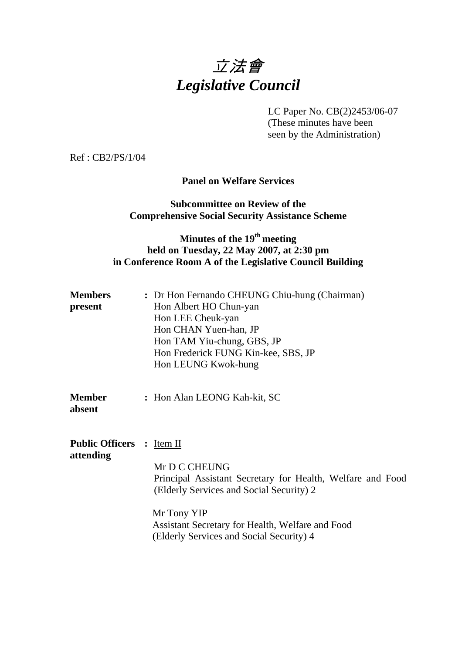# 立法會 *Legislative Council*

LC Paper No. CB(2)2453/06-07

 (These minutes have been seen by the Administration)

Ref : CB2/PS/1/04

## **Panel on Welfare Services**

## **Subcommittee on Review of the Comprehensive Social Security Assistance Scheme**

## **Minutes of the 19th meeting held on Tuesday, 22 May 2007, at 2:30 pm in Conference Room A of the Legislative Council Building**

| <b>Members</b><br>present                     | : Dr Hon Fernando CHEUNG Chiu-hung (Chairman)<br>Hon Albert HO Chun-yan<br>Hon LEE Cheuk-yan<br>Hon CHAN Yuen-han, JP<br>Hon TAM Yiu-chung, GBS, JP |
|-----------------------------------------------|-----------------------------------------------------------------------------------------------------------------------------------------------------|
| <b>Member</b><br>absent                       | Hon Frederick FUNG Kin-kee, SBS, JP<br>Hon LEUNG Kwok-hung<br>: Hon Alan LEONG Kah-kit, SC                                                          |
| <b>Public Officers :</b> Item II<br>attending |                                                                                                                                                     |

 Mr D C CHEUNG Principal Assistant Secretary for Health, Welfare and Food (Elderly Services and Social Security) 2

Mr Tony YIP Assistant Secretary for Health, Welfare and Food (Elderly Services and Social Security) 4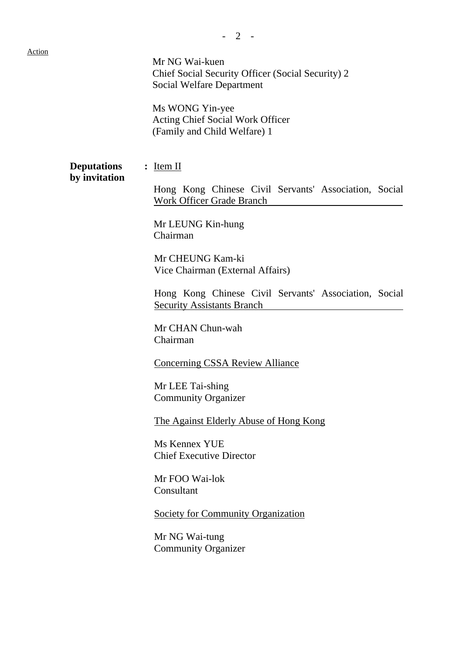$- 2 -$ Mr NG Wai-kuen

Chief Social Security Officer (Social Security) 2 Social Welfare Department

Ms WONG Yin-yee Acting Chief Social Work Officer (Family and Child Welfare) 1

**Deputations** : Item II **by invitation** 

Hong Kong Chinese Civil Servants' Association, Social Work Officer Grade Branch

 Mr LEUNG Kin-hung Chairman

Mr CHEUNG Kam-ki Vice Chairman (External Affairs)

Hong Kong Chinese Civil Servants' Association, Social Security Assistants Branch

Mr CHAN Chun-wah Chairman

Concerning CSSA Review Alliance

Mr LEE Tai-shing Community Organizer

The Against Elderly Abuse of Hong Kong

Ms Kennex YUE Chief Executive Director

Mr FOO Wai-lok Consultant

Society for Community Organization

Mr NG Wai-tung Community Organizer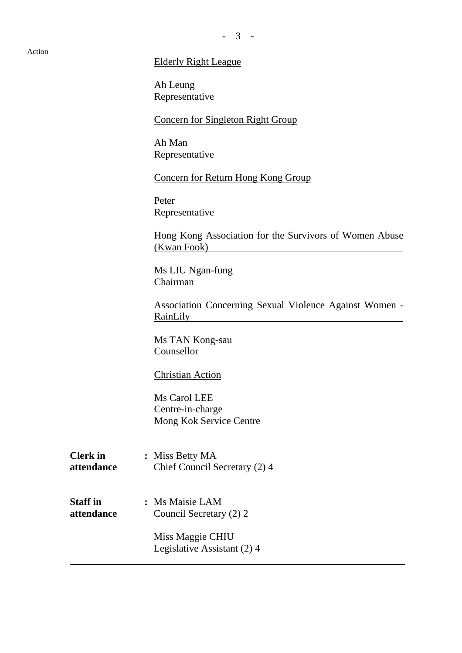#### Action

#### - 3 -

#### Elderly Right League

Ah Leung Representative

Concern for Singleton Right Group

Ah Man Representative

Concern for Return Hong Kong Group

Peter Representative

Hong Kong Association for the Survivors of Women Abuse (Kwan Fook)

Ms LIU Ngan-fung Chairman

Association Concerning Sexual Violence Against Women - RainLily

Ms TAN Kong-sau Counsellor

Christian Action

Ms Carol LEE Centre-in-charge Mong Kok Service Centre

**Clerk in : Miss Betty MA attendance** Chief Council Secretary (2) 4

**Staff in : Ms Maisie LAM attendance** Council Secretary (2) 2

> Miss Maggie CHIU Legislative Assistant (2) 4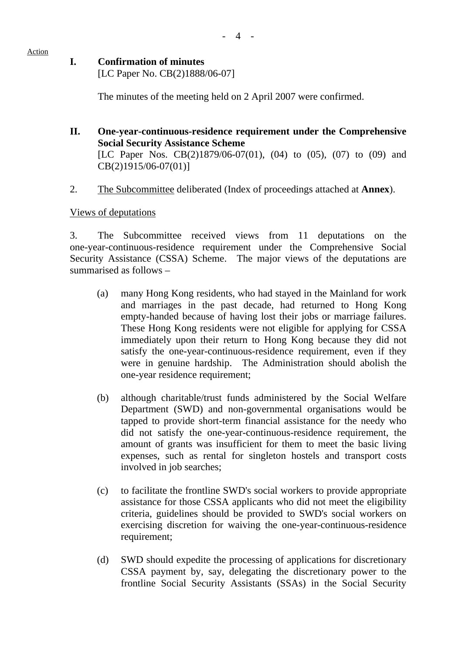#### Action

## **I. Confirmation of minutes**

[LC Paper No. CB(2)1888/06-07]

The minutes of the meeting held on 2 April 2007 were confirmed.

- **II. One-year-continuous-residence requirement under the Comprehensive Social Security Assistance Scheme**  [LC Paper Nos. CB(2)1879/06-07(01), (04) to (05), (07) to (09) and CB(2)1915/06-07(01)]
- 2. The Subcommittee deliberated (Index of proceedings attached at **Annex**).

## Views of deputations

3. The Subcommittee received views from 11 deputations on the one-year-continuous-residence requirement under the Comprehensive Social Security Assistance (CSSA) Scheme. The major views of the deputations are summarised as follows –

- (a) many Hong Kong residents, who had stayed in the Mainland for work and marriages in the past decade, had returned to Hong Kong empty-handed because of having lost their jobs or marriage failures. These Hong Kong residents were not eligible for applying for CSSA immediately upon their return to Hong Kong because they did not satisfy the one-year-continuous-residence requirement, even if they were in genuine hardship. The Administration should abolish the one-year residence requirement;
- (b) although charitable/trust funds administered by the Social Welfare Department (SWD) and non-governmental organisations would be tapped to provide short-term financial assistance for the needy who did not satisfy the one-year-continuous-residence requirement, the amount of grants was insufficient for them to meet the basic living expenses, such as rental for singleton hostels and transport costs involved in job searches;
- (c) to facilitate the frontline SWD's social workers to provide appropriate assistance for those CSSA applicants who did not meet the eligibility criteria, guidelines should be provided to SWD's social workers on exercising discretion for waiving the one-year-continuous-residence requirement;
- (d) SWD should expedite the processing of applications for discretionary CSSA payment by, say, delegating the discretionary power to the frontline Social Security Assistants (SSAs) in the Social Security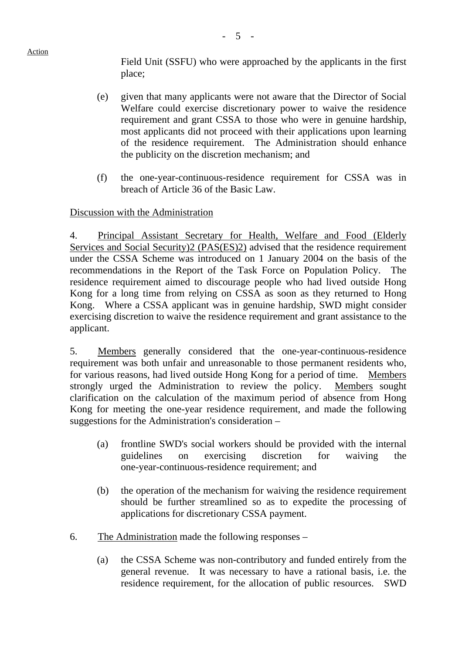Action

Field Unit (SSFU) who were approached by the applicants in the first place;

- (e) given that many applicants were not aware that the Director of Social Welfare could exercise discretionary power to waive the residence requirement and grant CSSA to those who were in genuine hardship, most applicants did not proceed with their applications upon learning of the residence requirement. The Administration should enhance the publicity on the discretion mechanism; and
- (f) the one-year-continuous-residence requirement for CSSA was in breach of Article 36 of the Basic Law.

## Discussion with the Administration

4. Principal Assistant Secretary for Health, Welfare and Food (Elderly Services and Social Security)2 (PAS(ES)2) advised that the residence requirement under the CSSA Scheme was introduced on 1 January 2004 on the basis of the recommendations in the Report of the Task Force on Population Policy. The residence requirement aimed to discourage people who had lived outside Hong Kong for a long time from relying on CSSA as soon as they returned to Hong Kong. Where a CSSA applicant was in genuine hardship, SWD might consider exercising discretion to waive the residence requirement and grant assistance to the applicant.

5. Members generally considered that the one-year-continuous-residence requirement was both unfair and unreasonable to those permanent residents who, for various reasons, had lived outside Hong Kong for a period of time. Members strongly urged the Administration to review the policy. Members sought clarification on the calculation of the maximum period of absence from Hong Kong for meeting the one-year residence requirement, and made the following suggestions for the Administration's consideration –

- (a) frontline SWD's social workers should be provided with the internal guidelines on exercising discretion for waiving the one-year-continuous-residence requirement; and
- (b) the operation of the mechanism for waiving the residence requirement should be further streamlined so as to expedite the processing of applications for discretionary CSSA payment.
- 6. The Administration made the following responses
	- (a) the CSSA Scheme was non-contributory and funded entirely from the general revenue. It was necessary to have a rational basis, i.e. the residence requirement, for the allocation of public resources. SWD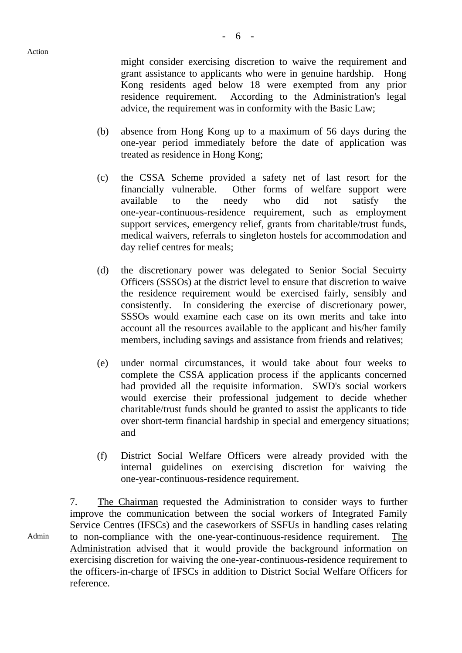Admin

might consider exercising discretion to waive the requirement and grant assistance to applicants who were in genuine hardship. Hong Kong residents aged below 18 were exempted from any prior residence requirement. According to the Administration's legal advice, the requirement was in conformity with the Basic Law;

- (b) absence from Hong Kong up to a maximum of 56 days during the one-year period immediately before the date of application was treated as residence in Hong Kong;
- (c) the CSSA Scheme provided a safety net of last resort for the financially vulnerable. Other forms of welfare support were available to the needy who did not satisfy the one-year-continuous-residence requirement, such as employment support services, emergency relief, grants from charitable/trust funds, medical waivers, referrals to singleton hostels for accommodation and day relief centres for meals;
- (d) the discretionary power was delegated to Senior Social Secuirty Officers (SSSOs) at the district level to ensure that discretion to waive the residence requirement would be exercised fairly, sensibly and consistently. In considering the exercise of discretionary power, SSSOs would examine each case on its own merits and take into account all the resources available to the applicant and his/her family members, including savings and assistance from friends and relatives;
- (e) under normal circumstances, it would take about four weeks to complete the CSSA application process if the applicants concerned had provided all the requisite information. SWD's social workers would exercise their professional judgement to decide whether charitable/trust funds should be granted to assist the applicants to tide over short-term financial hardship in special and emergency situations; and
- (f) District Social Welfare Officers were already provided with the internal guidelines on exercising discretion for waiving the one-year-continuous-residence requirement.

7. The Chairman requested the Administration to consider ways to further improve the communication between the social workers of Integrated Family Service Centres (IFSCs) and the caseworkers of SSFUs in handling cases relating to non-compliance with the one-year-continuous-residence requirement. The Administration advised that it would provide the background information on exercising discretion for waiving the one-year-continuous-residence requirement to the officers-in-charge of IFSCs in addition to District Social Welfare Officers for reference.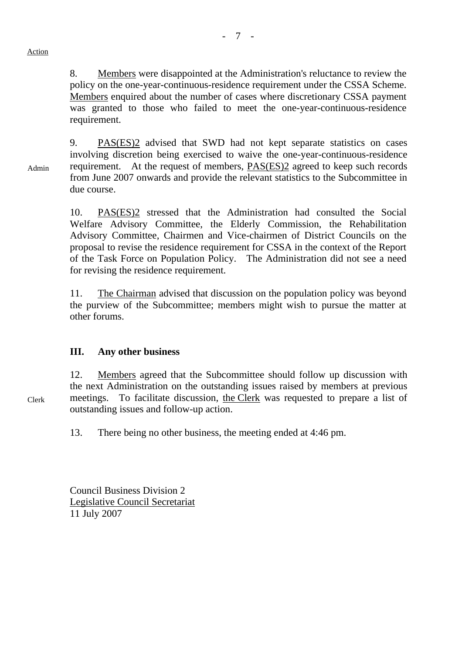8. Members were disappointed at the Administration's reluctance to review the policy on the one-year-continuous-residence requirement under the CSSA Scheme. Members enquired about the number of cases where discretionary CSSA payment was granted to those who failed to meet the one-year-continuous-residence requirement.

9. PAS(ES)2 advised that SWD had not kept separate statistics on cases involving discretion being exercised to waive the one-year-continuous-residence requirement. At the request of members, PAS(ES)2 agreed to keep such records from June 2007 onwards and provide the relevant statistics to the Subcommittee in due course.

10. PAS(ES)2 stressed that the Administration had consulted the Social Welfare Advisory Committee, the Elderly Commission, the Rehabilitation Advisory Committee, Chairmen and Vice-chairmen of District Councils on the proposal to revise the residence requirement for CSSA in the context of the Report of the Task Force on Population Policy. The Administration did not see a need for revising the residence requirement.

11. The Chairman advised that discussion on the population policy was beyond the purview of the Subcommittee; members might wish to pursue the matter at other forums.

## **III. Any other business**

12. Members agreed that the Subcommittee should follow up discussion with the next Administration on the outstanding issues raised by members at previous meetings. To facilitate discussion, the Clerk was requested to prepare a list of outstanding issues and follow-up action.

13. There being no other business, the meeting ended at 4:46 pm.

Council Business Division 2 Legislative Council Secretariat 11 July 2007

Admin

Clerk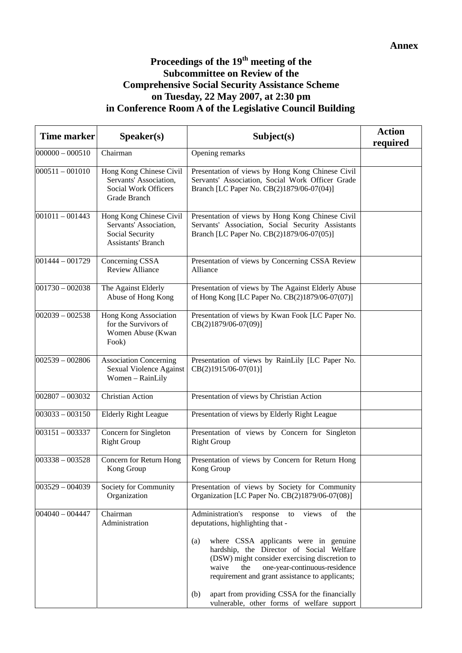## **Proceedings of the 19th meeting of the Subcommittee on Review of the Comprehensive Social Security Assistance Scheme on Tuesday, 22 May 2007, at 2:30 pm in Conference Room A of the Legislative Council Building**

| <b>Time marker</b> | Speaker(s)                                                                                        | Subject(s)                                                                                                                                                                                                                                                                                                                                                                                                                                          | <b>Action</b><br>required |
|--------------------|---------------------------------------------------------------------------------------------------|-----------------------------------------------------------------------------------------------------------------------------------------------------------------------------------------------------------------------------------------------------------------------------------------------------------------------------------------------------------------------------------------------------------------------------------------------------|---------------------------|
| $000000 - 000510$  | Chairman                                                                                          | Opening remarks                                                                                                                                                                                                                                                                                                                                                                                                                                     |                           |
| $000511 - 001010$  | Hong Kong Chinese Civil<br>Servants' Association,<br>Social Work Officers<br>Grade Branch         | Presentation of views by Hong Kong Chinese Civil<br>Servants' Association, Social Work Officer Grade<br>Branch [LC Paper No. CB(2)1879/06-07(04)]                                                                                                                                                                                                                                                                                                   |                           |
| $001011 - 001443$  | Hong Kong Chinese Civil<br>Servants' Association,<br>Social Security<br><b>Assistants' Branch</b> | Presentation of views by Hong Kong Chinese Civil<br>Servants' Association, Social Security Assistants<br>Branch [LC Paper No. CB(2)1879/06-07(05)]                                                                                                                                                                                                                                                                                                  |                           |
| $001444 - 001729$  | Concerning CSSA<br><b>Review Alliance</b>                                                         | Presentation of views by Concerning CSSA Review<br>Alliance                                                                                                                                                                                                                                                                                                                                                                                         |                           |
| $001730 - 002038$  | The Against Elderly<br>Abuse of Hong Kong                                                         | Presentation of views by The Against Elderly Abuse<br>of Hong Kong [LC Paper No. CB(2)1879/06-07(07)]                                                                                                                                                                                                                                                                                                                                               |                           |
| $002039 - 002538$  | Hong Kong Association<br>for the Survivors of<br>Women Abuse (Kwan<br>Fook)                       | Presentation of views by Kwan Fook [LC Paper No.<br>CB(2)1879/06-07(09)]                                                                                                                                                                                                                                                                                                                                                                            |                           |
| $002539 - 002806$  | <b>Association Concerning</b><br>Sexual Violence Against<br>Women – RainLily                      | Presentation of views by RainLily [LC Paper No.<br>CB(2)1915/06-07(01)]                                                                                                                                                                                                                                                                                                                                                                             |                           |
| $002807 - 003032$  | <b>Christian Action</b>                                                                           | Presentation of views by Christian Action                                                                                                                                                                                                                                                                                                                                                                                                           |                           |
| $003033 - 003150$  | <b>Elderly Right League</b>                                                                       | Presentation of views by Elderly Right League                                                                                                                                                                                                                                                                                                                                                                                                       |                           |
| $003151 - 003337$  | Concern for Singleton<br><b>Right Group</b>                                                       | Presentation of views by Concern for Singleton<br><b>Right Group</b>                                                                                                                                                                                                                                                                                                                                                                                |                           |
| $003338 - 003528$  | Concern for Return Hong<br>Kong Group                                                             | Presentation of views by Concern for Return Hong<br>Kong Group                                                                                                                                                                                                                                                                                                                                                                                      |                           |
| $003529 - 004039$  | Society for Community<br>Organization                                                             | Presentation of views by Society for Community<br>Organization [LC Paper No. CB(2)1879/06-07(08)]                                                                                                                                                                                                                                                                                                                                                   |                           |
| $004040 - 004447$  | Chairman<br>Administration                                                                        | Administration's<br>views<br>of<br>response<br>the<br>to<br>deputations, highlighting that -<br>where CSSA applicants were in genuine<br>(a)<br>hardship, the Director of Social Welfare<br>(DSW) might consider exercising discretion to<br>one-year-continuous-residence<br>waive<br>the<br>requirement and grant assistance to applicants;<br>apart from providing CSSA for the financially<br>(b)<br>vulnerable, other forms of welfare support |                           |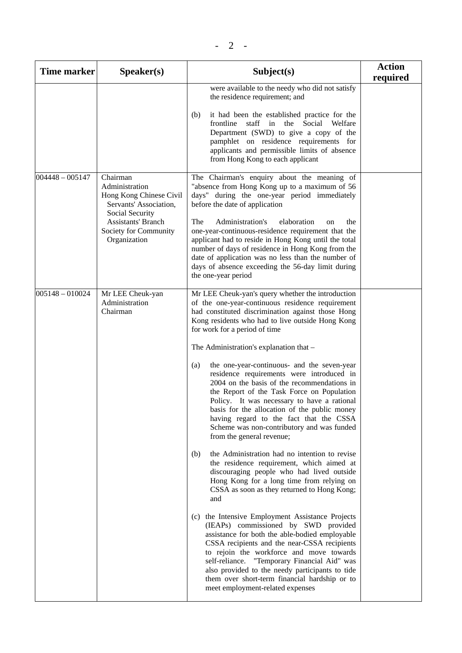| <b>Time marker</b> | Speaker(s)                                                                                                                                                               | Subject(s)                                                                                                                                                                                                                                                                                                                                                                                                                                                                                                                                                                                                                                                                                                                                                                                                                                                                                                                                                                                                                                                                                                                                                                                                                                                                                                                                                                                                | <b>Action</b><br>required |
|--------------------|--------------------------------------------------------------------------------------------------------------------------------------------------------------------------|-----------------------------------------------------------------------------------------------------------------------------------------------------------------------------------------------------------------------------------------------------------------------------------------------------------------------------------------------------------------------------------------------------------------------------------------------------------------------------------------------------------------------------------------------------------------------------------------------------------------------------------------------------------------------------------------------------------------------------------------------------------------------------------------------------------------------------------------------------------------------------------------------------------------------------------------------------------------------------------------------------------------------------------------------------------------------------------------------------------------------------------------------------------------------------------------------------------------------------------------------------------------------------------------------------------------------------------------------------------------------------------------------------------|---------------------------|
|                    |                                                                                                                                                                          | were available to the needy who did not satisfy<br>the residence requirement; and                                                                                                                                                                                                                                                                                                                                                                                                                                                                                                                                                                                                                                                                                                                                                                                                                                                                                                                                                                                                                                                                                                                                                                                                                                                                                                                         |                           |
|                    |                                                                                                                                                                          | (b)<br>it had been the established practice for the<br>frontline staff in<br>the Social Welfare<br>Department (SWD) to give a copy of the<br>pamphlet on residence requirements for<br>applicants and permissible limits of absence<br>from Hong Kong to each applicant                                                                                                                                                                                                                                                                                                                                                                                                                                                                                                                                                                                                                                                                                                                                                                                                                                                                                                                                                                                                                                                                                                                                   |                           |
| $004448 - 005147$  | Chairman<br>Administration<br>Hong Kong Chinese Civil<br>Servants' Association,<br>Social Security<br><b>Assistants' Branch</b><br>Society for Community<br>Organization | The Chairman's enquiry about the meaning of<br>"absence from Hong Kong up to a maximum of 56<br>days" during the one-year period immediately<br>before the date of application<br>The<br>Administration's<br>elaboration<br>the<br>on<br>one-year-continuous-residence requirement that the<br>applicant had to reside in Hong Kong until the total<br>number of days of residence in Hong Kong from the<br>date of application was no less than the number of<br>days of absence exceeding the 56-day limit during<br>the one-year period                                                                                                                                                                                                                                                                                                                                                                                                                                                                                                                                                                                                                                                                                                                                                                                                                                                                |                           |
| $005148 - 010024$  | Mr LEE Cheuk-yan<br>Administration<br>Chairman                                                                                                                           | Mr LEE Cheuk-yan's query whether the introduction<br>of the one-year-continuous residence requirement<br>had constituted discrimination against those Hong<br>Kong residents who had to live outside Hong Kong<br>for work for a period of time<br>The Administration's explanation that -<br>the one-year-continuous- and the seven-year<br>(a)<br>residence requirements were introduced in<br>2004 on the basis of the recommendations in<br>the Report of the Task Force on Population<br>Policy. It was necessary to have a rational<br>basis for the allocation of the public money<br>having regard to the fact that the CSSA<br>Scheme was non-contributory and was funded<br>from the general revenue;<br>the Administration had no intention to revise<br>(b)<br>the residence requirement, which aimed at<br>discouraging people who had lived outside<br>Hong Kong for a long time from relying on<br>CSSA as soon as they returned to Hong Kong;<br>and<br>(c) the Intensive Employment Assistance Projects<br>(IEAPs) commissioned by SWD provided<br>assistance for both the able-bodied employable<br>CSSA recipients and the near-CSSA recipients<br>to rejoin the workforce and move towards<br>"Temporary Financial Aid" was<br>self-reliance.<br>also provided to the needy participants to tide<br>them over short-term financial hardship or to<br>meet employment-related expenses |                           |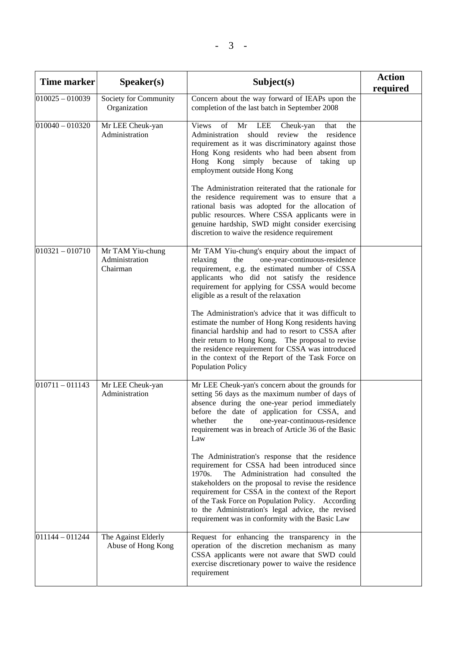| <b>Time marker</b> | S <b>peaker(s)</b>                             | Subject(s)                                                                                                                                                                                                                                                                                                                                                                                                                      | <b>Action</b><br>required |
|--------------------|------------------------------------------------|---------------------------------------------------------------------------------------------------------------------------------------------------------------------------------------------------------------------------------------------------------------------------------------------------------------------------------------------------------------------------------------------------------------------------------|---------------------------|
| $010025 - 010039$  | Society for Community<br>Organization          | Concern about the way forward of IEAPs upon the<br>completion of the last batch in September 2008                                                                                                                                                                                                                                                                                                                               |                           |
| $010040 - 010320$  | Mr LEE Cheuk-yan<br>Administration             | Mr<br><b>Views</b><br>of<br>LEE<br>Cheuk-yan<br>that<br>the<br>Administration<br>should<br>review<br>residence<br>the<br>requirement as it was discriminatory against those<br>Hong Kong residents who had been absent from<br>Hong Kong simply because of taking up<br>employment outside Hong Kong                                                                                                                            |                           |
|                    |                                                | The Administration reiterated that the rationale for<br>the residence requirement was to ensure that a<br>rational basis was adopted for the allocation of<br>public resources. Where CSSA applicants were in<br>genuine hardship, SWD might consider exercising<br>discretion to waive the residence requirement                                                                                                               |                           |
| $010321 - 010710$  | Mr TAM Yiu-chung<br>Administration<br>Chairman | Mr TAM Yiu-chung's enquiry about the impact of<br>one-year-continuous-residence<br>relaxing<br>the<br>requirement, e.g. the estimated number of CSSA<br>applicants who did not satisfy the residence<br>requirement for applying for CSSA would become<br>eligible as a result of the relaxation                                                                                                                                |                           |
|                    |                                                | The Administration's advice that it was difficult to<br>estimate the number of Hong Kong residents having<br>financial hardship and had to resort to CSSA after<br>their return to Hong Kong. The proposal to revise<br>the residence requirement for CSSA was introduced<br>in the context of the Report of the Task Force on<br><b>Population Policy</b>                                                                      |                           |
| $010711 - 011143$  | Mr LEE Cheuk-yan<br>Administration             | Mr LEE Cheuk-yan's concern about the grounds for<br>setting 56 days as the maximum number of days of<br>absence during the one-year period immediately<br>before the date of application for CSSA, and<br>one-year-continuous-residence<br>whether<br>the<br>requirement was in breach of Article 36 of the Basic<br>Law                                                                                                        |                           |
|                    |                                                | The Administration's response that the residence<br>requirement for CSSA had been introduced since<br>The Administration had consulted the<br>1970s.<br>stakeholders on the proposal to revise the residence<br>requirement for CSSA in the context of the Report<br>of the Task Force on Population Policy. According<br>to the Administration's legal advice, the revised<br>requirement was in conformity with the Basic Law |                           |
| $011144 - 011244$  | The Against Elderly<br>Abuse of Hong Kong      | Request for enhancing the transparency in the<br>operation of the discretion mechanism as many<br>CSSA applicants were not aware that SWD could<br>exercise discretionary power to waive the residence<br>requirement                                                                                                                                                                                                           |                           |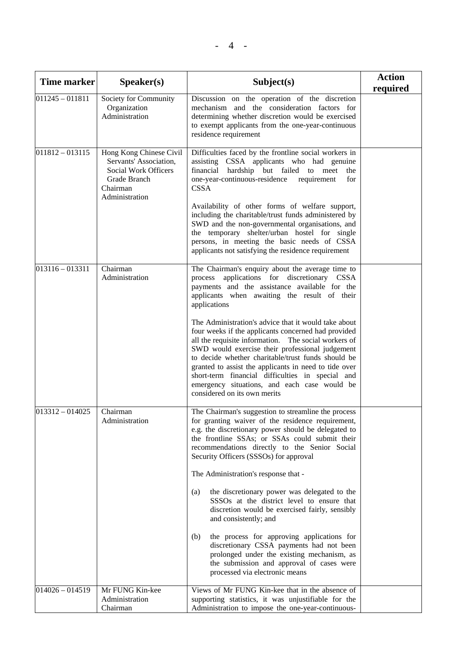| <b>Time marker</b> | S <sub>p</sub> eaker(s)                                                                                                 | Subject(s)                                                                                                                                                                                                                                                                                                                                                                                                                                                                                                                                                                                                                                                                                                                                                         | <b>Action</b><br>required |
|--------------------|-------------------------------------------------------------------------------------------------------------------------|--------------------------------------------------------------------------------------------------------------------------------------------------------------------------------------------------------------------------------------------------------------------------------------------------------------------------------------------------------------------------------------------------------------------------------------------------------------------------------------------------------------------------------------------------------------------------------------------------------------------------------------------------------------------------------------------------------------------------------------------------------------------|---------------------------|
| $011245 - 011811$  | Society for Community<br>Organization<br>Administration                                                                 | Discussion on the operation of the discretion<br>mechanism and the consideration factors for<br>determining whether discretion would be exercised<br>to exempt applicants from the one-year-continuous<br>residence requirement                                                                                                                                                                                                                                                                                                                                                                                                                                                                                                                                    |                           |
| $011812 - 013115$  | Hong Kong Chinese Civil<br>Servants' Association,<br>Social Work Officers<br>Grade Branch<br>Chairman<br>Administration | Difficulties faced by the frontline social workers in<br>assisting CSSA applicants who had genuine<br>financial hardship but failed to meet<br>the<br>one-year-continuous-residence<br>requirement<br>for<br><b>CSSA</b><br>Availability of other forms of welfare support,<br>including the charitable/trust funds administered by<br>SWD and the non-governmental organisations, and<br>the temporary shelter/urban hostel for single<br>persons, in meeting the basic needs of CSSA<br>applicants not satisfying the residence requirement                                                                                                                                                                                                                      |                           |
| $013116 - 013311$  | Chairman<br>Administration                                                                                              | The Chairman's enquiry about the average time to<br>process applications for discretionary CSSA<br>payments and the assistance available for the<br>applicants when awaiting the result of their<br>applications<br>The Administration's advice that it would take about<br>four weeks if the applicants concerned had provided<br>all the requisite information. The social workers of<br>SWD would exercise their professional judgement<br>to decide whether charitable/trust funds should be<br>granted to assist the applicants in need to tide over<br>short-term financial difficulties in special and<br>emergency situations, and each case would be<br>considered on its own merits                                                                      |                           |
| $ 013312 - 014025$ | Chairman<br>Administration                                                                                              | The Chairman's suggestion to streamline the process<br>for granting waiver of the residence requirement,<br>e.g. the discretionary power should be delegated to<br>the frontline SSAs; or SSAs could submit their<br>recommendations directly to the Senior Social<br>Security Officers (SSSOs) for approval<br>The Administration's response that -<br>the discretionary power was delegated to the<br>(a)<br>SSSOs at the district level to ensure that<br>discretion would be exercised fairly, sensibly<br>and consistently; and<br>the process for approving applications for<br>(b)<br>discretionary CSSA payments had not been<br>prolonged under the existing mechanism, as<br>the submission and approval of cases were<br>processed via electronic means |                           |
| $014026 - 014519$  | Mr FUNG Kin-kee<br>Administration<br>Chairman                                                                           | Views of Mr FUNG Kin-kee that in the absence of<br>supporting statistics, it was unjustifiable for the<br>Administration to impose the one-year-continuous-                                                                                                                                                                                                                                                                                                                                                                                                                                                                                                                                                                                                        |                           |